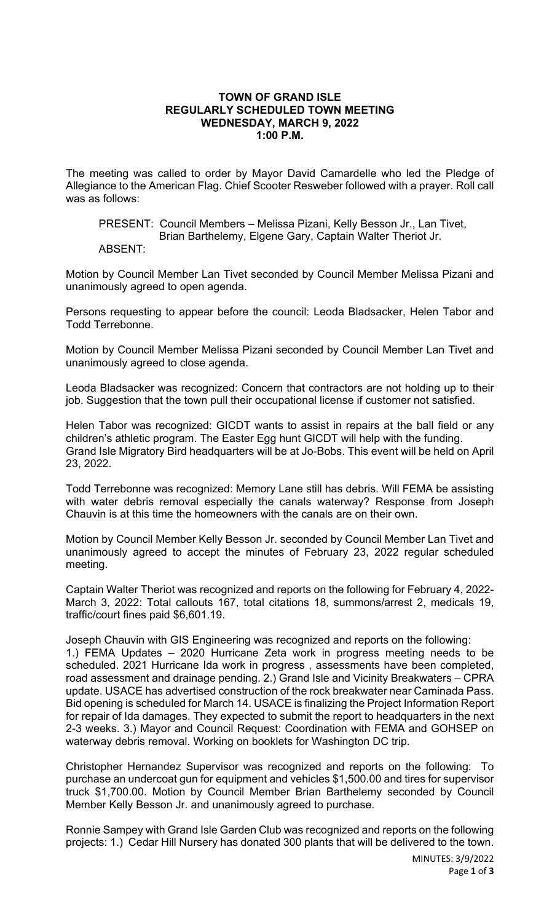## **TOWN OF GRAND ISLE REGULARLY SCHEDULED TOWN MEETING WEDNESDAY, MARCH 9, 2022 1:00 P.M.**

The meeting was called to order by Mayor David Camardelle who led the Pledge of Allegiance to the American Flag. Chief Scooter Resweber followed with a prayer. Roll call was as follows:

PRESENT: Council Members – Melissa Pizani, Kelly Besson Jr., Lan Tivet, Brian Barthelemy, Elgene Gary, Captain Walter Theriot Jr.

## ABSENT:

Motion by Council Member Lan Tivet seconded by Council Member Melissa Pizani and unanimously agreed to open agenda.

Persons requesting to appear before the council: Leoda Bladsacker, Helen Tabor and Todd Terrebonne.

Motion by Council Member Melissa Pizani seconded by Council Member Lan Tivet and unanimously agreed to close agenda.

Leoda Bladsacker was recognized: Concern that contractors are not holding up to their job. Suggestion that the town pull their occupational license if customer not satisfied.

Helen Tabor was recognized: GICDT wants to assist in repairs at the ball field or any children's athletic program. The Easter Egg hunt GICDT will help with the funding. Grand Isle Migratory Bird headquarters will be at Jo-Bobs. This event will be held on April 23, 2022.

Todd Terrebonne was recognized: Memory Lane still has debris. Will FEMA be assisting with water debris removal especially the canals waterway? Response from Joseph Chauvin is at this time the homeowners with the canals are on their own.

Motion by Council Member Kelly Besson Jr. seconded by Council Member Lan Tivet and unanimously agreed to accept the minutes of February 23, 2022 regular scheduled meeting.

Captain Walter Theriot was recognized and reports on the following for February 4, 2022- March 3, 2022: Total callouts 167, total citations 18, summons/arrest 2, medicals 19, traffic/court fines paid \$6,601.19.

Joseph Chauvin with GIS Engineering was recognized and reports on the following: 1.) FEMA Updates – 2020 Hurricane Zeta work in progress meeting needs to be scheduled. 2021 Hurricane Ida work in progress , assessments have been completed, road assessment and drainage pending. 2.) Grand Isle and Vicinity Breakwaters – CPRA update. USACE has advertised construction of the rock breakwater near Caminada Pass. Bid opening is scheduled for March 14. USACE is finalizing the Project Information Report for repair of Ida damages. They expected to submit the report to headquarters in the next 2-3 weeks. 3.) Mayor and Council Request: Coordination with FEMA and GOHSEP on waterway debris removal. Working on booklets for Washington DC trip.

Christopher Hernandez Supervisor was recognized and reports on the following: To purchase an undercoat gun for equipment and vehicles \$1,500.00 and tires for supervisor truck \$1,700.00. Motion by Council Member Brian Barthelemy seconded by Council Member Kelly Besson Jr. and unanimously agreed to purchase.

Ronnie Sampey with Grand Isle Garden Club was recognized and reports on the following projects: 1.) Cedar Hill Nursery has donated 300 plants that will be delivered to the town.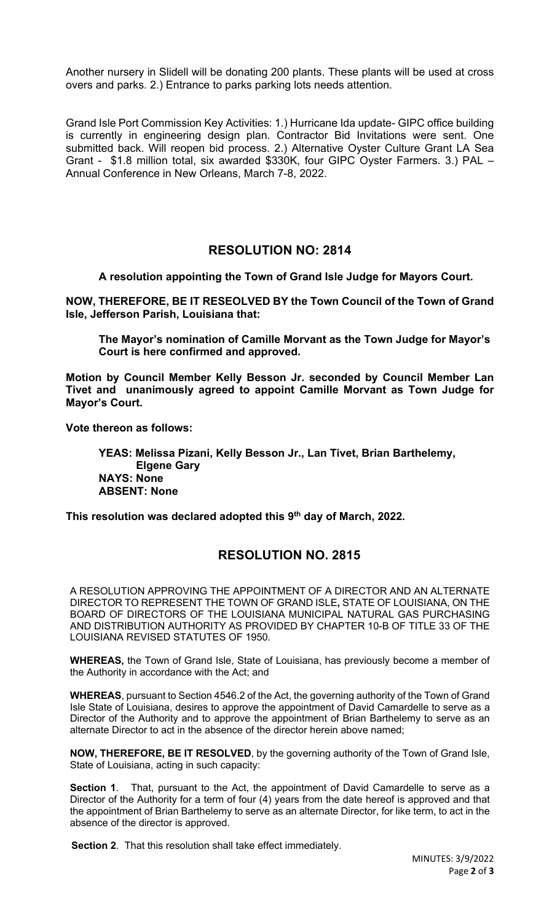Another nursery in Slidell will be donating 200 plants. These plants will be used at cross overs and parks. 2.) Entrance to parks parking lots needs attention.

Grand Isle Port Commission Key Activities: 1.) Hurricane Ida update- GIPC office building is currently in engineering design plan. Contractor Bid Invitations were sent. One submitted back. Will reopen bid process. 2.) Alternative Oyster Culture Grant LA Sea Grant - \$1.8 million total, six awarded \$330K, four GIPC Oyster Farmers. 3.) PAL – Annual Conference in New Orleans, March 7-8, 2022.

## **RESOLUTION NO: 2814**

**A resolution appointing the Town of Grand Isle Judge for Mayors Court.**

**NOW, THEREFORE, BE IT RESEOLVED BY the Town Council of the Town of Grand Isle, Jefferson Parish, Louisiana that:**

**The Mayor's nomination of Camille Morvant as the Town Judge for Mayor's Court is here confirmed and approved.** 

**Motion by Council Member Kelly Besson Jr. seconded by Council Member Lan Tivet and unanimously agreed to appoint Camille Morvant as Town Judge for Mayor's Court.**

**Vote thereon as follows:**

**YEAS: Melissa Pizani, Kelly Besson Jr., Lan Tivet, Brian Barthelemy, Elgene Gary NAYS: None ABSENT: None**

**This resolution was declared adopted this 9th day of March, 2022.**

## **RESOLUTION NO. 2815**

A RESOLUTION APPROVING THE APPOINTMENT OF A DIRECTOR AND AN ALTERNATE DIRECTOR TO REPRESENT THE TOWN OF GRAND ISLE**,** STATE OF LOUISIANA, ON THE BOARD OF DIRECTORS OF THE LOUISIANA MUNICIPAL NATURAL GAS PURCHASING AND DISTRIBUTION AUTHORITY AS PROVIDED BY CHAPTER 10-B OF TITLE 33 OF THE LOUISIANA REVISED STATUTES OF 1950.

**WHEREAS,** the Town of Grand Isle, State of Louisiana, has previously become a member of the Authority in accordance with the Act; and

**WHEREAS**, pursuant to Section 4546.2 of the Act, the governing authority of the Town of Grand Isle State of Louisiana, desires to approve the appointment of David Camardelle to serve as a Director of the Authority and to approve the appointment of Brian Barthelemy to serve as an alternate Director to act in the absence of the director herein above named;

**NOW, THEREFORE, BE IT RESOLVED**, by the governing authority of the Town of Grand Isle, State of Louisiana, acting in such capacity:

**Section 1**. That, pursuant to the Act, the appointment of David Camardelle to serve as a Director of the Authority for a term of four (4) years from the date hereof is approved and that the appointment of Brian Barthelemy to serve as an alternate Director, for like term, to act in the absence of the director is approved.

 **Section 2**. That this resolution shall take effect immediately.